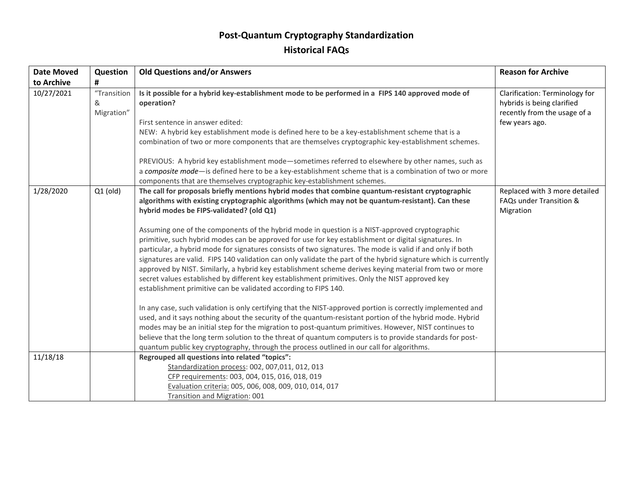## **Post-Quantum Cryptography Standardization Historical FAQs**

| <b>Date Moved</b> | Question                       | <b>Old Questions and/or Answers</b>                                                                                                                                                                                                                                                                                                                                                                                                                                                                                                                                                                                                                                                                                                                                                                                                                                                                                                                                                                                                                                                                                                                                                                                                                                                                                                                                                                                                                                                                                         | <b>Reason for Archive</b>                                                                                      |
|-------------------|--------------------------------|-----------------------------------------------------------------------------------------------------------------------------------------------------------------------------------------------------------------------------------------------------------------------------------------------------------------------------------------------------------------------------------------------------------------------------------------------------------------------------------------------------------------------------------------------------------------------------------------------------------------------------------------------------------------------------------------------------------------------------------------------------------------------------------------------------------------------------------------------------------------------------------------------------------------------------------------------------------------------------------------------------------------------------------------------------------------------------------------------------------------------------------------------------------------------------------------------------------------------------------------------------------------------------------------------------------------------------------------------------------------------------------------------------------------------------------------------------------------------------------------------------------------------------|----------------------------------------------------------------------------------------------------------------|
| to Archive        | #                              |                                                                                                                                                                                                                                                                                                                                                                                                                                                                                                                                                                                                                                                                                                                                                                                                                                                                                                                                                                                                                                                                                                                                                                                                                                                                                                                                                                                                                                                                                                                             |                                                                                                                |
| 10/27/2021        | "Transition<br>&<br>Migration" | Is it possible for a hybrid key-establishment mode to be performed in a FIPS 140 approved mode of<br>operation?<br>First sentence in answer edited:<br>NEW: A hybrid key establishment mode is defined here to be a key-establishment scheme that is a<br>combination of two or more components that are themselves cryptographic key-establishment schemes.                                                                                                                                                                                                                                                                                                                                                                                                                                                                                                                                                                                                                                                                                                                                                                                                                                                                                                                                                                                                                                                                                                                                                                | Clarification: Terminology for<br>hybrids is being clarified<br>recently from the usage of a<br>few years ago. |
|                   |                                | PREVIOUS: A hybrid key establishment mode-sometimes referred to elsewhere by other names, such as<br>a composite mode-is defined here to be a key-establishment scheme that is a combination of two or more<br>components that are themselves cryptographic key-establishment schemes.                                                                                                                                                                                                                                                                                                                                                                                                                                                                                                                                                                                                                                                                                                                                                                                                                                                                                                                                                                                                                                                                                                                                                                                                                                      |                                                                                                                |
| 1/28/2020         | $Q1$ (old)                     | The call for proposals briefly mentions hybrid modes that combine quantum-resistant cryptographic<br>algorithms with existing cryptographic algorithms (which may not be quantum-resistant). Can these<br>hybrid modes be FIPS-validated? (old Q1)<br>Assuming one of the components of the hybrid mode in question is a NIST-approved cryptographic<br>primitive, such hybrid modes can be approved for use for key establishment or digital signatures. In<br>particular, a hybrid mode for signatures consists of two signatures. The mode is valid if and only if both<br>signatures are valid. FIPS 140 validation can only validate the part of the hybrid signature which is currently<br>approved by NIST. Similarly, a hybrid key establishment scheme derives keying material from two or more<br>secret values established by different key establishment primitives. Only the NIST approved key<br>establishment primitive can be validated according to FIPS 140.<br>In any case, such validation is only certifying that the NIST-approved portion is correctly implemented and<br>used, and it says nothing about the security of the quantum-resistant portion of the hybrid mode. Hybrid<br>modes may be an initial step for the migration to post-quantum primitives. However, NIST continues to<br>believe that the long term solution to the threat of quantum computers is to provide standards for post-<br>quantum public key cryptography, through the process outlined in our call for algorithms. | Replaced with 3 more detailed<br><b>FAQs under Transition &amp;</b><br>Migration                               |
| 11/18/18          |                                | Regrouped all questions into related "topics":                                                                                                                                                                                                                                                                                                                                                                                                                                                                                                                                                                                                                                                                                                                                                                                                                                                                                                                                                                                                                                                                                                                                                                                                                                                                                                                                                                                                                                                                              |                                                                                                                |
|                   |                                | Standardization process: 002, 007,011, 012, 013                                                                                                                                                                                                                                                                                                                                                                                                                                                                                                                                                                                                                                                                                                                                                                                                                                                                                                                                                                                                                                                                                                                                                                                                                                                                                                                                                                                                                                                                             |                                                                                                                |
|                   |                                | CFP requirements: 003, 004, 015, 016, 018, 019                                                                                                                                                                                                                                                                                                                                                                                                                                                                                                                                                                                                                                                                                                                                                                                                                                                                                                                                                                                                                                                                                                                                                                                                                                                                                                                                                                                                                                                                              |                                                                                                                |
|                   |                                | Evaluation criteria: 005, 006, 008, 009, 010, 014, 017                                                                                                                                                                                                                                                                                                                                                                                                                                                                                                                                                                                                                                                                                                                                                                                                                                                                                                                                                                                                                                                                                                                                                                                                                                                                                                                                                                                                                                                                      |                                                                                                                |
|                   |                                | Transition and Migration: 001                                                                                                                                                                                                                                                                                                                                                                                                                                                                                                                                                                                                                                                                                                                                                                                                                                                                                                                                                                                                                                                                                                                                                                                                                                                                                                                                                                                                                                                                                               |                                                                                                                |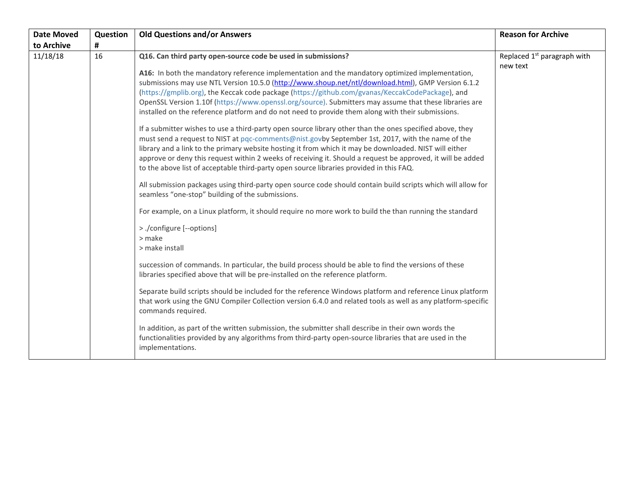| <b>Date Moved</b> | Question | <b>Old Questions and/or Answers</b>                                                                                                                                                                                                                                                                                                                                                                                                                                                                                                                                                                                                                                                                                                                                                                                                                                                                                                                                                                                                                                                                                                                                                                                                                                                                                                                                                                                                                                   | <b>Reason for Archive</b>                           |
|-------------------|----------|-----------------------------------------------------------------------------------------------------------------------------------------------------------------------------------------------------------------------------------------------------------------------------------------------------------------------------------------------------------------------------------------------------------------------------------------------------------------------------------------------------------------------------------------------------------------------------------------------------------------------------------------------------------------------------------------------------------------------------------------------------------------------------------------------------------------------------------------------------------------------------------------------------------------------------------------------------------------------------------------------------------------------------------------------------------------------------------------------------------------------------------------------------------------------------------------------------------------------------------------------------------------------------------------------------------------------------------------------------------------------------------------------------------------------------------------------------------------------|-----------------------------------------------------|
| to Archive        | #        |                                                                                                                                                                                                                                                                                                                                                                                                                                                                                                                                                                                                                                                                                                                                                                                                                                                                                                                                                                                                                                                                                                                                                                                                                                                                                                                                                                                                                                                                       |                                                     |
| 11/18/18          | 16       | Q16. Can third party open-source code be used in submissions?<br>A16: In both the mandatory reference implementation and the mandatory optimized implementation,<br>submissions may use NTL Version 10.5.0 (http://www.shoup.net/ntl/download.html), GMP Version 6.1.2<br>(https://gmplib.org), the Keccak code package (https://github.com/gvanas/KeccakCodePackage), and<br>OpenSSL Version 1.10f (https://www.openssl.org/source). Submitters may assume that these libraries are<br>installed on the reference platform and do not need to provide them along with their submissions.<br>If a submitter wishes to use a third-party open source library other than the ones specified above, they<br>must send a request to NIST at pqc-comments@nist.govby September 1st, 2017, with the name of the<br>library and a link to the primary website hosting it from which it may be downloaded. NIST will either<br>approve or deny this request within 2 weeks of receiving it. Should a request be approved, it will be added<br>to the above list of acceptable third-party open source libraries provided in this FAQ.<br>All submission packages using third-party open source code should contain build scripts which will allow for<br>seamless "one-stop" building of the submissions.<br>For example, on a Linux platform, it should require no more work to build the than running the standard<br>> ./configure [--options]<br>> make<br>> make install | Replaced 1 <sup>st</sup> paragraph with<br>new text |
|                   |          | succession of commands. In particular, the build process should be able to find the versions of these<br>libraries specified above that will be pre-installed on the reference platform.                                                                                                                                                                                                                                                                                                                                                                                                                                                                                                                                                                                                                                                                                                                                                                                                                                                                                                                                                                                                                                                                                                                                                                                                                                                                              |                                                     |
|                   |          | Separate build scripts should be included for the reference Windows platform and reference Linux platform<br>that work using the GNU Compiler Collection version 6.4.0 and related tools as well as any platform-specific<br>commands required.                                                                                                                                                                                                                                                                                                                                                                                                                                                                                                                                                                                                                                                                                                                                                                                                                                                                                                                                                                                                                                                                                                                                                                                                                       |                                                     |
|                   |          | In addition, as part of the written submission, the submitter shall describe in their own words the<br>functionalities provided by any algorithms from third-party open-source libraries that are used in the<br>implementations.                                                                                                                                                                                                                                                                                                                                                                                                                                                                                                                                                                                                                                                                                                                                                                                                                                                                                                                                                                                                                                                                                                                                                                                                                                     |                                                     |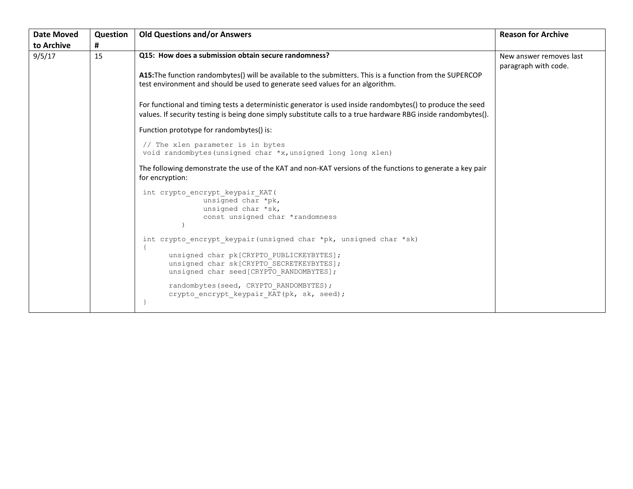| <b>Date Moved</b> | Question | <b>Old Questions and/or Answers</b>                                                                                                                                                                                                                                                            | <b>Reason for Archive</b>                       |
|-------------------|----------|------------------------------------------------------------------------------------------------------------------------------------------------------------------------------------------------------------------------------------------------------------------------------------------------|-------------------------------------------------|
| to Archive        | #        |                                                                                                                                                                                                                                                                                                |                                                 |
| 9/5/17            | 15       | Q15: How does a submission obtain secure randomness?                                                                                                                                                                                                                                           | New answer removes last<br>paragraph with code. |
|                   |          | A15: The function randombytes() will be available to the submitters. This is a function from the SUPERCOP<br>test environment and should be used to generate seed values for an algorithm.                                                                                                     |                                                 |
|                   |          | For functional and timing tests a deterministic generator is used inside randombytes() to produce the seed<br>values. If security testing is being done simply substitute calls to a true hardware RBG inside randombytes().                                                                   |                                                 |
|                   |          | Function prototype for randombytes() is:                                                                                                                                                                                                                                                       |                                                 |
|                   |          | // The xlen parameter is in bytes<br>void randombytes (unsigned char *x, unsigned long long xlen)                                                                                                                                                                                              |                                                 |
|                   |          | The following demonstrate the use of the KAT and non-KAT versions of the functions to generate a key pair<br>for encryption:                                                                                                                                                                   |                                                 |
|                   |          | int crypto_encrypt_keypair KAT(<br>unsigned char *pk,<br>unsigned char *sk,<br>const unsigned char *randomness                                                                                                                                                                                 |                                                 |
|                   |          | int crypto encrypt keypair (unsigned char *pk, unsigned char *sk)<br>unsigned char pk[CRYPTO PUBLICKEYBYTES];<br>unsigned char sk[CRYPTO SECRETKEYBYTES];<br>unsigned char seed [CRYPTO RANDOMBYTES];<br>randombytes (seed, CRYPTO RANDOMBYTES) ;<br>crypto_encrypt_keypair_KAT(pk, sk, seed); |                                                 |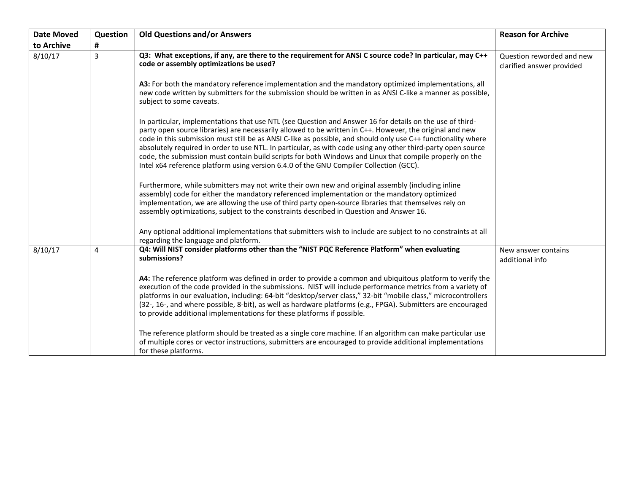| <b>Date Moved</b> | Question | <b>Old Questions and/or Answers</b>                                                                                                                                                                                                                                                                                                                                                                                                                                                                                                                                                                                                                        | <b>Reason for Archive</b>                              |
|-------------------|----------|------------------------------------------------------------------------------------------------------------------------------------------------------------------------------------------------------------------------------------------------------------------------------------------------------------------------------------------------------------------------------------------------------------------------------------------------------------------------------------------------------------------------------------------------------------------------------------------------------------------------------------------------------------|--------------------------------------------------------|
| to Archive        | #        |                                                                                                                                                                                                                                                                                                                                                                                                                                                                                                                                                                                                                                                            |                                                        |
| 8/10/17           | 3        | Q3: What exceptions, if any, are there to the requirement for ANSI C source code? In particular, may C++<br>code or assembly optimizations be used?                                                                                                                                                                                                                                                                                                                                                                                                                                                                                                        | Question reworded and new<br>clarified answer provided |
|                   |          | A3: For both the mandatory reference implementation and the mandatory optimized implementations, all<br>new code written by submitters for the submission should be written in as ANSI C-like a manner as possible,<br>subject to some caveats.                                                                                                                                                                                                                                                                                                                                                                                                            |                                                        |
|                   |          | In particular, implementations that use NTL (see Question and Answer 16 for details on the use of third-<br>party open source libraries) are necessarily allowed to be written in C++. However, the original and new<br>code in this submission must still be as ANSI C-like as possible, and should only use C++ functionality where<br>absolutely required in order to use NTL. In particular, as with code using any other third-party open source<br>code, the submission must contain build scripts for both Windows and Linux that compile properly on the<br>Intel x64 reference platform using version 6.4.0 of the GNU Compiler Collection (GCC). |                                                        |
|                   |          | Furthermore, while submitters may not write their own new and original assembly (including inline<br>assembly) code for either the mandatory referenced implementation or the mandatory optimized<br>implementation, we are allowing the use of third party open-source libraries that themselves rely on<br>assembly optimizations, subject to the constraints described in Question and Answer 16.                                                                                                                                                                                                                                                       |                                                        |
|                   |          | Any optional additional implementations that submitters wish to include are subject to no constraints at all<br>regarding the language and platform.                                                                                                                                                                                                                                                                                                                                                                                                                                                                                                       |                                                        |
| 8/10/17           | 4        | Q4: Will NIST consider platforms other than the "NIST PQC Reference Platform" when evaluating<br>submissions?                                                                                                                                                                                                                                                                                                                                                                                                                                                                                                                                              | New answer contains<br>additional info                 |
|                   |          | A4: The reference platform was defined in order to provide a common and ubiquitous platform to verify the<br>execution of the code provided in the submissions. NIST will include performance metrics from a variety of<br>platforms in our evaluation, including: 64-bit "desktop/server class," 32-bit "mobile class," microcontrollers<br>(32-, 16-, and where possible, 8-bit), as well as hardware platforms (e.g., FPGA). Submitters are encouraged<br>to provide additional implementations for these platforms if possible.                                                                                                                        |                                                        |
|                   |          | The reference platform should be treated as a single core machine. If an algorithm can make particular use<br>of multiple cores or vector instructions, submitters are encouraged to provide additional implementations<br>for these platforms.                                                                                                                                                                                                                                                                                                                                                                                                            |                                                        |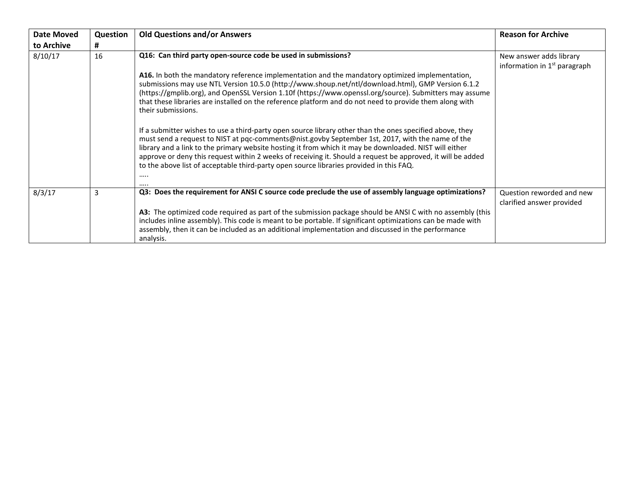| Date Moved | Question | <b>Old Questions and/or Answers</b>                                                                                                                                                                                                                                                                                                                                                                                                                                                                                                  | <b>Reason for Archive</b>                                 |
|------------|----------|--------------------------------------------------------------------------------------------------------------------------------------------------------------------------------------------------------------------------------------------------------------------------------------------------------------------------------------------------------------------------------------------------------------------------------------------------------------------------------------------------------------------------------------|-----------------------------------------------------------|
| to Archive | #        |                                                                                                                                                                                                                                                                                                                                                                                                                                                                                                                                      |                                                           |
| 8/10/17    | 16       | Q16: Can third party open-source code be used in submissions?                                                                                                                                                                                                                                                                                                                                                                                                                                                                        | New answer adds library<br>information in $1st$ paragraph |
|            |          | A16. In both the mandatory reference implementation and the mandatory optimized implementation,<br>submissions may use NTL Version 10.5.0 (http://www.shoup.net/ntl/download.html), GMP Version 6.1.2<br>(https://gmplib.org), and OpenSSL Version 1.10f (https://www.openssl.org/source). Submitters may assume<br>that these libraries are installed on the reference platform and do not need to provide them along with<br>their submissions.                                                                                    |                                                           |
|            |          | If a submitter wishes to use a third-party open source library other than the ones specified above, they<br>must send a request to NIST at pqc-comments@nist.govby September 1st, 2017, with the name of the<br>library and a link to the primary website hosting it from which it may be downloaded. NIST will either<br>approve or deny this request within 2 weeks of receiving it. Should a request be approved, it will be added<br>to the above list of acceptable third-party open source libraries provided in this FAQ.<br> |                                                           |
| 8/3/17     | 3        | Q3: Does the requirement for ANSI C source code preclude the use of assembly language optimizations?                                                                                                                                                                                                                                                                                                                                                                                                                                 | Question reworded and new<br>clarified answer provided    |
|            |          | A3: The optimized code required as part of the submission package should be ANSI C with no assembly (this<br>includes inline assembly). This code is meant to be portable. If significant optimizations can be made with<br>assembly, then it can be included as an additional implementation and discussed in the performance<br>analysis.                                                                                                                                                                                          |                                                           |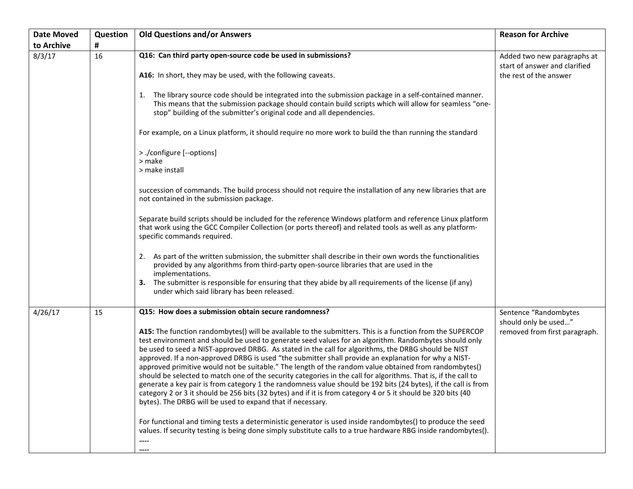| <b>Date Moved</b> | Question | <b>Old Questions and/or Answers</b>                                                                                                                                                                                                                                                                                                                                                                                                                                                                                                                                                                                                                                                                                                                                                                                                                                                                                                                          | <b>Reason for Archive</b>                                    |
|-------------------|----------|--------------------------------------------------------------------------------------------------------------------------------------------------------------------------------------------------------------------------------------------------------------------------------------------------------------------------------------------------------------------------------------------------------------------------------------------------------------------------------------------------------------------------------------------------------------------------------------------------------------------------------------------------------------------------------------------------------------------------------------------------------------------------------------------------------------------------------------------------------------------------------------------------------------------------------------------------------------|--------------------------------------------------------------|
| to Archive        | #        |                                                                                                                                                                                                                                                                                                                                                                                                                                                                                                                                                                                                                                                                                                                                                                                                                                                                                                                                                              |                                                              |
| 8/3/17            | 16       | Q16: Can third party open-source code be used in submissions?                                                                                                                                                                                                                                                                                                                                                                                                                                                                                                                                                                                                                                                                                                                                                                                                                                                                                                | Added two new paragraphs at<br>start of answer and clarified |
|                   |          | A16: In short, they may be used, with the following caveats.                                                                                                                                                                                                                                                                                                                                                                                                                                                                                                                                                                                                                                                                                                                                                                                                                                                                                                 | the rest of the answer                                       |
|                   |          | 1. The library source code should be integrated into the submission package in a self-contained manner.<br>This means that the submission package should contain build scripts which will allow for seamless "one-<br>stop" building of the submitter's original code and all dependencies.                                                                                                                                                                                                                                                                                                                                                                                                                                                                                                                                                                                                                                                                  |                                                              |
|                   |          | For example, on a Linux platform, it should require no more work to build the than running the standard                                                                                                                                                                                                                                                                                                                                                                                                                                                                                                                                                                                                                                                                                                                                                                                                                                                      |                                                              |
|                   |          | > ./configure [--options]<br>> make<br>> make install                                                                                                                                                                                                                                                                                                                                                                                                                                                                                                                                                                                                                                                                                                                                                                                                                                                                                                        |                                                              |
|                   |          | succession of commands. The build process should not require the installation of any new libraries that are                                                                                                                                                                                                                                                                                                                                                                                                                                                                                                                                                                                                                                                                                                                                                                                                                                                  |                                                              |
|                   |          | not contained in the submission package.                                                                                                                                                                                                                                                                                                                                                                                                                                                                                                                                                                                                                                                                                                                                                                                                                                                                                                                     |                                                              |
|                   |          | Separate build scripts should be included for the reference Windows platform and reference Linux platform<br>that work using the GCC Compiler Collection (or ports thereof) and related tools as well as any platform-<br>specific commands required.                                                                                                                                                                                                                                                                                                                                                                                                                                                                                                                                                                                                                                                                                                        |                                                              |
|                   |          | 2. As part of the written submission, the submitter shall describe in their own words the functionalities<br>provided by any algorithms from third-party open-source libraries that are used in the<br>implementations.                                                                                                                                                                                                                                                                                                                                                                                                                                                                                                                                                                                                                                                                                                                                      |                                                              |
|                   |          | 3. The submitter is responsible for ensuring that they abide by all requirements of the license (if any)<br>under which said library has been released.                                                                                                                                                                                                                                                                                                                                                                                                                                                                                                                                                                                                                                                                                                                                                                                                      |                                                              |
| 4/26/17           | 15       | Q15: How does a submission obtain secure randomness?                                                                                                                                                                                                                                                                                                                                                                                                                                                                                                                                                                                                                                                                                                                                                                                                                                                                                                         | Sentence "Randombytes                                        |
|                   |          | A15: The function randombytes() will be available to the submitters. This is a function from the SUPERCOP<br>test environment and should be used to generate seed values for an algorithm. Randombytes should only<br>be used to seed a NIST-approved DRBG. As stated in the call for algorithms, the DRBG should be NIST<br>approved. If a non-approved DRBG is used "the submitter shall provide an explanation for why a NIST-<br>approved primitive would not be suitable." The length of the random value obtained from randombytes()<br>should be selected to match one of the security categories in the call for algorithms. That is, if the call to<br>generate a key pair is from category 1 the randomness value should be 192 bits (24 bytes), if the call is from<br>category 2 or 3 it should be 256 bits (32 bytes) and if it is from category 4 or 5 it should be 320 bits (40<br>bytes). The DRBG will be used to expand that if necessary. | should only be used"<br>removed from first paragraph.        |
|                   |          | For functional and timing tests a deterministic generator is used inside randombytes() to produce the seed<br>values. If security testing is being done simply substitute calls to a true hardware RBG inside randombytes().<br>                                                                                                                                                                                                                                                                                                                                                                                                                                                                                                                                                                                                                                                                                                                             |                                                              |
|                   |          |                                                                                                                                                                                                                                                                                                                                                                                                                                                                                                                                                                                                                                                                                                                                                                                                                                                                                                                                                              |                                                              |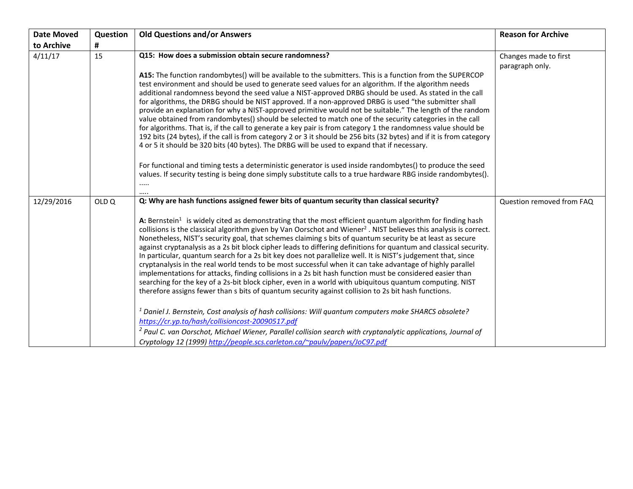| <b>Date Moved</b> | Question         | <b>Old Questions and/or Answers</b>                                                                                                                                                                                                                                                                                                                                                                                                                                                                                                                                                                                                                                                                                                                                                                                                                                                                                                                                                                                                                                                                                                                                                                                                                                                                                                                                                                                                                                                                                    | <b>Reason for Archive</b>                |
|-------------------|------------------|------------------------------------------------------------------------------------------------------------------------------------------------------------------------------------------------------------------------------------------------------------------------------------------------------------------------------------------------------------------------------------------------------------------------------------------------------------------------------------------------------------------------------------------------------------------------------------------------------------------------------------------------------------------------------------------------------------------------------------------------------------------------------------------------------------------------------------------------------------------------------------------------------------------------------------------------------------------------------------------------------------------------------------------------------------------------------------------------------------------------------------------------------------------------------------------------------------------------------------------------------------------------------------------------------------------------------------------------------------------------------------------------------------------------------------------------------------------------------------------------------------------------|------------------------------------------|
| to Archive        | #                |                                                                                                                                                                                                                                                                                                                                                                                                                                                                                                                                                                                                                                                                                                                                                                                                                                                                                                                                                                                                                                                                                                                                                                                                                                                                                                                                                                                                                                                                                                                        |                                          |
| 4/11/17           | 15               | Q15: How does a submission obtain secure randomness?<br>A15: The function randombytes() will be available to the submitters. This is a function from the SUPERCOP<br>test environment and should be used to generate seed values for an algorithm. If the algorithm needs<br>additional randomness beyond the seed value a NIST-approved DRBG should be used. As stated in the call<br>for algorithms, the DRBG should be NIST approved. If a non-approved DRBG is used "the submitter shall<br>provide an explanation for why a NIST-approved primitive would not be suitable." The length of the random<br>value obtained from randombytes() should be selected to match one of the security categories in the call<br>for algorithms. That is, if the call to generate a key pair is from category 1 the randomness value should be<br>192 bits (24 bytes), if the call is from category 2 or 3 it should be 256 bits (32 bytes) and if it is from category<br>4 or 5 it should be 320 bits (40 bytes). The DRBG will be used to expand that if necessary.<br>For functional and timing tests a deterministic generator is used inside randombytes() to produce the seed<br>values. If security testing is being done simply substitute calls to a true hardware RBG inside randombytes().                                                                                                                                                                                                                          | Changes made to first<br>paragraph only. |
| 12/29/2016        | OLD <sub>Q</sub> | Q: Why are hash functions assigned fewer bits of quantum security than classical security?<br>A: Bernstein <sup>1</sup> is widely cited as demonstrating that the most efficient quantum algorithm for finding hash<br>collisions is the classical algorithm given by Van Oorschot and Wiener <sup>2</sup> . NIST believes this analysis is correct.<br>Nonetheless, NIST's security goal, that schemes claiming s bits of quantum security be at least as secure<br>against cryptanalysis as a 2s bit block cipher leads to differing definitions for quantum and classical security.<br>In particular, quantum search for a 2s bit key does not parallelize well. It is NIST's judgement that, since<br>cryptanalysis in the real world tends to be most successful when it can take advantage of highly parallel<br>implementations for attacks, finding collisions in a 2s bit hash function must be considered easier than<br>searching for the key of a 2s-bit block cipher, even in a world with ubiquitous quantum computing. NIST<br>therefore assigns fewer than s bits of quantum security against collision to 2s bit hash functions.<br>Daniel J. Bernstein, Cost analysis of hash collisions: Will quantum computers make SHARCS obsolete?<br>https://cr.yp.to/hash/collisioncost-20090517.pdf<br><sup>2</sup> Paul C. van Oorschot, Michael Wiener, Parallel collision search with cryptanalytic applications, Journal of<br>Cryptology 12 (1999) http://people.scs.carleton.ca/~paulv/papers/JoC97.pdf | Question removed from FAQ                |